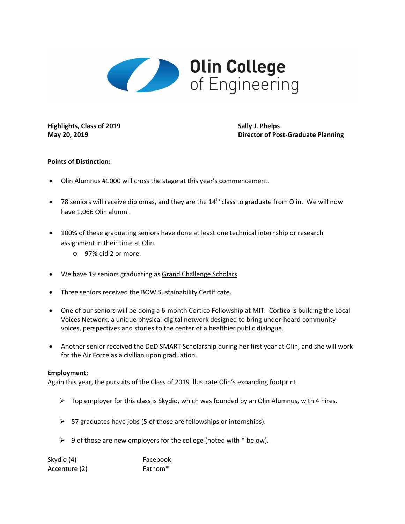

**Highlights, Class of 2019 Sally J. Phelps**

**May 20, 2019 Director of Post‐Graduate Planning**

## **Points of Distinction:**

- Olin Alumnus #1000 will cross the stage at this year's commencement.
- 78 seniors will receive diplomas, and they are the 14<sup>th</sup> class to graduate from Olin. We will now have 1,066 Olin alumni.
- 100% of these graduating seniors have done at least one technical internship or research assignment in their time at Olin.
	- o 97% did 2 or more.
- We have 19 seniors graduating as Grand Challenge Scholars.
- Three seniors received the BOW Sustainability Certificate.
- One of our seniors will be doing a 6-month Cortico Fellowship at MIT. Cortico is building the Local Voices Network, a unique physical‐digital network designed to bring under‐heard community voices, perspectives and stories to the center of a healthier public dialogue.
- Another senior received the DoD SMART Scholarship during her first year at Olin, and she will work for the Air Force as a civilian upon graduation.

## **Employment:**

Again this year, the pursuits of the Class of 2019 illustrate Olin's expanding footprint.

- $\triangleright$  Top employer for this class is Skydio, which was founded by an Olin Alumnus, with 4 hires.
- $\geq$  57 graduates have jobs (5 of those are fellowships or internships).
- $\triangleright$  9 of those are new employers for the college (noted with  $*$  below).

| Skydio (4)    | Facebook            |
|---------------|---------------------|
| Accenture (2) | Fathom <sup>*</sup> |